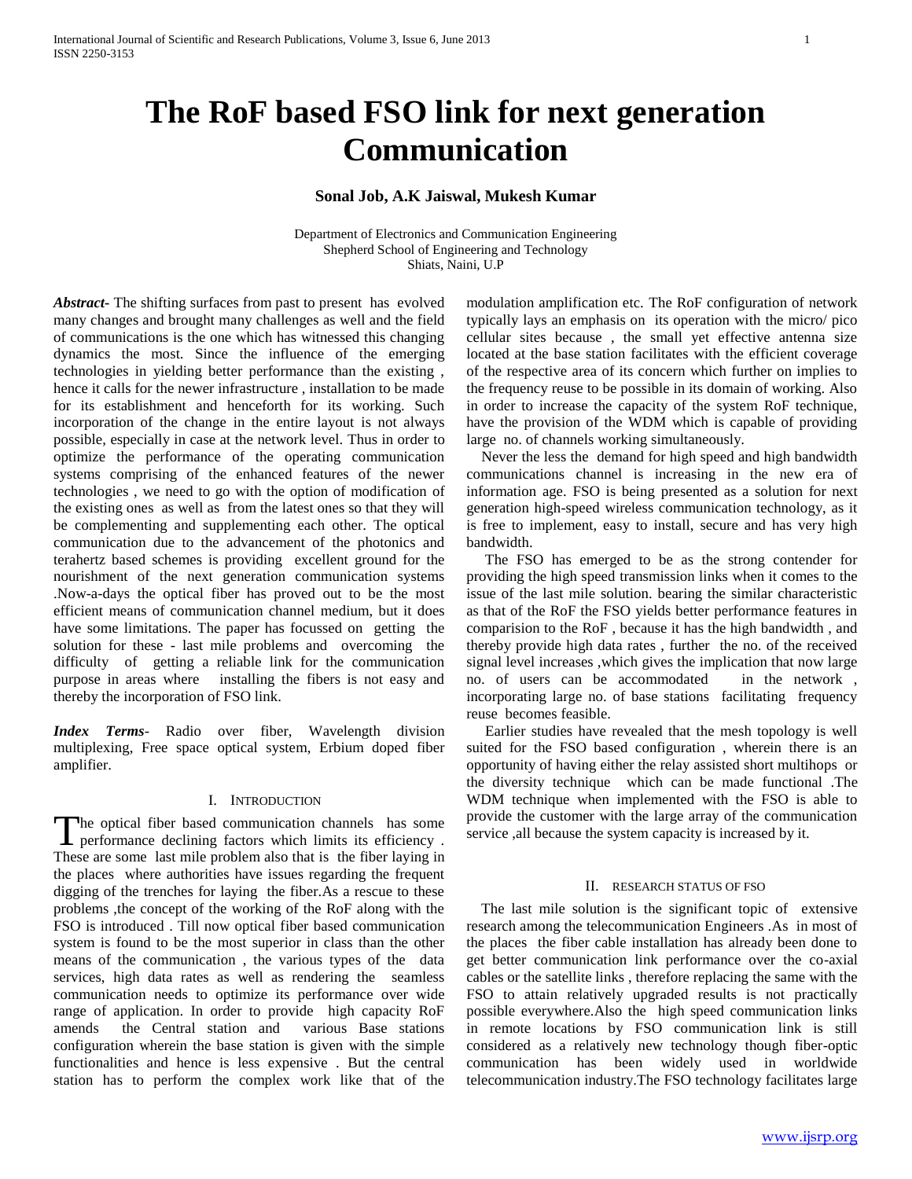# **The RoF based FSO link for next generation Communication**

# **Sonal Job, A.K Jaiswal, Mukesh Kumar**

Department of Electronics and Communication Engineering Shepherd School of Engineering and Technology Shiats, Naini, U.P

*Abstract***-** The shifting surfaces from past to present has evolved many changes and brought many challenges as well and the field of communications is the one which has witnessed this changing dynamics the most. Since the influence of the emerging technologies in yielding better performance than the existing , hence it calls for the newer infrastructure , installation to be made for its establishment and henceforth for its working. Such incorporation of the change in the entire layout is not always possible, especially in case at the network level. Thus in order to optimize the performance of the operating communication systems comprising of the enhanced features of the newer technologies , we need to go with the option of modification of the existing ones as well as from the latest ones so that they will be complementing and supplementing each other. The optical communication due to the advancement of the photonics and terahertz based schemes is providing excellent ground for the nourishment of the next generation communication systems .Now-a-days the optical fiber has proved out to be the most efficient means of communication channel medium, but it does have some limitations. The paper has focussed on getting the solution for these - last mile problems and overcoming the difficulty of getting a reliable link for the communication purpose in areas where installing the fibers is not easy and thereby the incorporation of FSO link.

*Index Terms*- Radio over fiber, Wavelength division multiplexing, Free space optical system, Erbium doped fiber amplifier.

#### I. INTRODUCTION

he optical fiber based communication channels has some The optical fiber based communication channels has some performance declining factors which limits its efficiency . These are some last mile problem also that is the fiber laying in the places where authorities have issues regarding the frequent digging of the trenches for laying the fiber.As a rescue to these problems ,the concept of the working of the RoF along with the FSO is introduced . Till now optical fiber based communication system is found to be the most superior in class than the other means of the communication , the various types of the data services, high data rates as well as rendering the seamless communication needs to optimize its performance over wide range of application. In order to provide high capacity RoF amends the Central station and various Base stations configuration wherein the base station is given with the simple functionalities and hence is less expensive . But the central station has to perform the complex work like that of the

modulation amplification etc. The RoF configuration of network typically lays an emphasis on its operation with the micro/ pico cellular sites because , the small yet effective antenna size located at the base station facilitates with the efficient coverage of the respective area of its concern which further on implies to the frequency reuse to be possible in its domain of working. Also in order to increase the capacity of the system RoF technique, have the provision of the WDM which is capable of providing large no. of channels working simultaneously.

 Never the less the demand for high speed and high bandwidth communications channel is increasing in the new era of information age. FSO is being presented as a solution for next generation high-speed wireless communication technology, as it is free to implement, easy to install, secure and has very high bandwidth.

 The FSO has emerged to be as the strong contender for providing the high speed transmission links when it comes to the issue of the last mile solution. bearing the similar characteristic as that of the RoF the FSO yields better performance features in comparision to the RoF , because it has the high bandwidth , and thereby provide high data rates , further the no. of the received signal level increases ,which gives the implication that now large no. of users can be accommodated in the network , incorporating large no. of base stations facilitating frequency reuse becomes feasible.

 Earlier studies have revealed that the mesh topology is well suited for the FSO based configuration , wherein there is an opportunity of having either the relay assisted short multihops or the diversity technique which can be made functional .The WDM technique when implemented with the FSO is able to provide the customer with the large array of the communication service ,all because the system capacity is increased by it.

#### II. RESEARCH STATUS OF FSO

 The last mile solution is the significant topic of extensive research among the telecommunication Engineers .As in most of the places the fiber cable installation has already been done to get better communication link performance over the co-axial cables or the satellite links , therefore replacing the same with the FSO to attain relatively upgraded results is not practically possible everywhere.Also the high speed communication links in remote locations by FSO communication link is still considered as a relatively new technology though fiber-optic communication has been widely used in worldwide telecommunication industry.The FSO technology facilitates large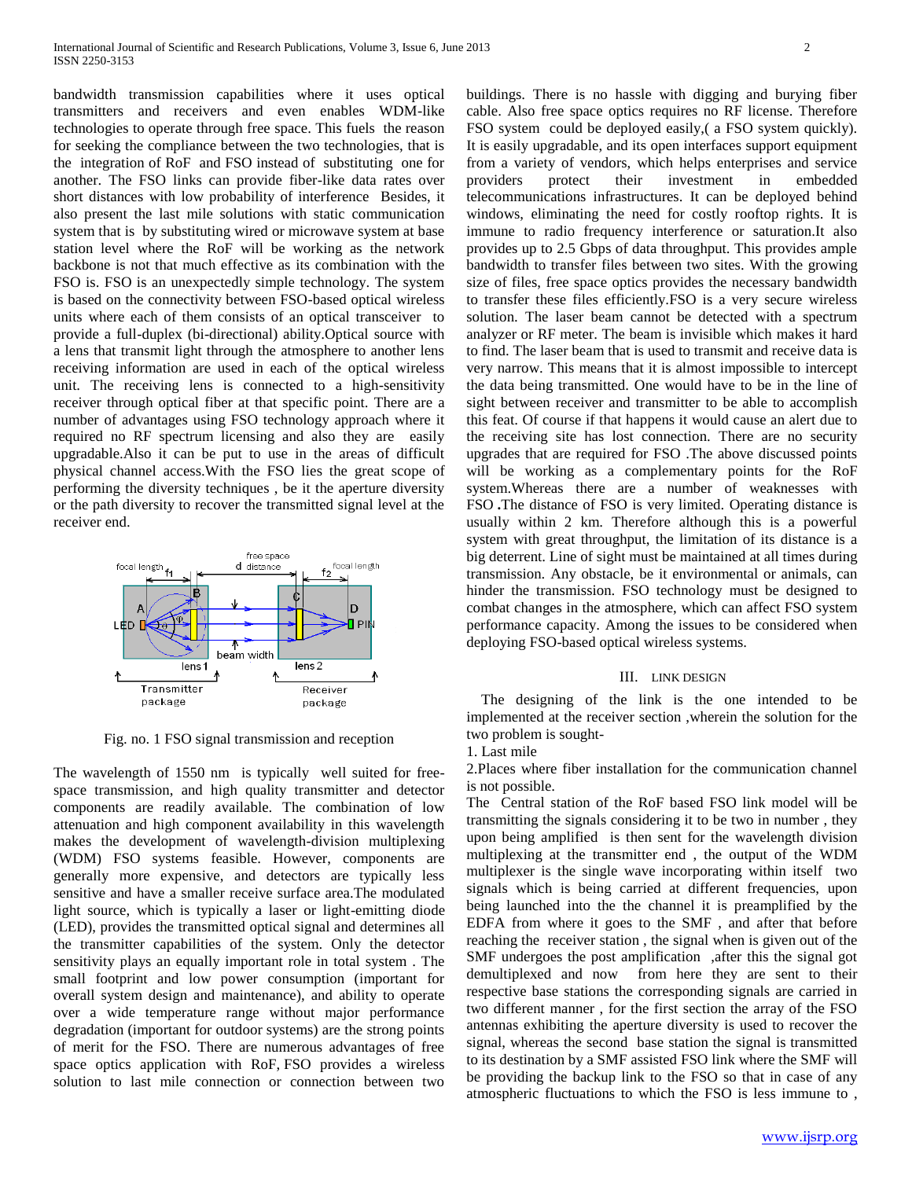bandwidth transmission capabilities where it uses optical transmitters and receivers and even enables WDM-like technologies to operate through free space. This fuels the reason for seeking the compliance between the two technologies, that is the integration of RoF and FSO instead of substituting one for another. The FSO links can provide fiber-like data rates over short distances with low probability of interference Besides, it also present the last mile solutions with static communication system that is by substituting wired or microwave system at base station level where the RoF will be working as the network backbone is not that much effective as its combination with the FSO is. FSO is an unexpectedly simple technology. The system is based on the connectivity between FSO-based optical wireless units where each of them consists of an optical transceiver to provide a full-duplex (bi-directional) ability.Optical source with a lens that transmit light through the atmosphere to another lens receiving information are used in each of the optical wireless unit. The receiving lens is connected to a high-sensitivity receiver through optical fiber at that specific point. There are a number of advantages using FSO technology approach where it required no RF spectrum licensing and also they are easily upgradable.Also it can be put to use in the areas of difficult physical channel access.With the FSO lies the great scope of performing the diversity techniques , be it the aperture diversity or the path diversity to recover the transmitted signal level at the receiver end.



Fig. no. 1 FSO signal transmission and reception

The wavelength of 1550 nm is typically well suited for freespace transmission, and high quality transmitter and detector components are readily available. The combination of low attenuation and high component availability in this wavelength makes the development of wavelength-division multiplexing (WDM) FSO systems feasible. However, components are generally more expensive, and detectors are typically less sensitive and have a smaller receive surface area.The modulated light source, which is typically a laser or light-emitting diode (LED), provides the transmitted optical signal and determines all the transmitter capabilities of the system. Only the detector sensitivity plays an equally important role in total system . The small footprint and low power consumption (important for overall system design and maintenance), and ability to operate over a wide temperature range without major performance degradation (important for outdoor systems) are the strong points of merit for the FSO. There are numerous advantages of free space optics application with RoF, FSO provides a wireless solution to last mile connection or connection between two

buildings. There is no hassle with digging and burying fiber cable. Also free space optics requires no RF license. Therefore FSO system could be deployed easily,( a FSO system quickly). It is easily upgradable, and its open interfaces support equipment from a variety of vendors, which helps enterprises and service providers protect their investment in embedded telecommunications infrastructures. It can be deployed behind windows, eliminating the need for costly rooftop rights. It is immune to radio frequency interference or saturation.It also provides up to 2.5 Gbps of data throughput. This provides ample bandwidth to transfer files between two sites. With the growing size of files, free space optics provides the necessary bandwidth to transfer these files efficiently.FSO is a very secure wireless solution. The laser beam cannot be detected with a spectrum analyzer or RF meter. The beam is invisible which makes it hard to find. The laser beam that is used to transmit and receive data is very narrow. This means that it is almost impossible to intercept the data being transmitted. One would have to be in the line of sight between receiver and transmitter to be able to accomplish this feat. Of course if that happens it would cause an alert due to the receiving site has lost connection. There are no security upgrades that are required for FSO .The above discussed points will be working as a complementary points for the RoF system.Whereas there are a number of weaknesses with FSO **.**The distance of FSO is very limited. Operating distance is usually within 2 km. Therefore although this is a powerful system with great throughput, the limitation of its distance is a big deterrent. Line of sight must be maintained at all times during transmission. Any obstacle, be it environmental or animals, can hinder the transmission. FSO technology must be designed to combat changes in the atmosphere, which can affect FSO system performance capacity. Among the issues to be considered when deploying FSO-based optical wireless systems.

#### III. LINK DESIGN

 The designing of the link is the one intended to be implemented at the receiver section ,wherein the solution for the two problem is sought-

1. Last mile

2.Places where fiber installation for the communication channel is not possible.

The Central station of the RoF based FSO link model will be transmitting the signals considering it to be two in number , they upon being amplified is then sent for the wavelength division multiplexing at the transmitter end , the output of the WDM multiplexer is the single wave incorporating within itself two signals which is being carried at different frequencies, upon being launched into the the channel it is preamplified by the EDFA from where it goes to the SMF , and after that before reaching the receiver station , the signal when is given out of the SMF undergoes the post amplification ,after this the signal got demultiplexed and now from here they are sent to their respective base stations the corresponding signals are carried in two different manner , for the first section the array of the FSO antennas exhibiting the aperture diversity is used to recover the signal, whereas the second base station the signal is transmitted to its destination by a SMF assisted FSO link where the SMF will be providing the backup link to the FSO so that in case of any atmospheric fluctuations to which the FSO is less immune to ,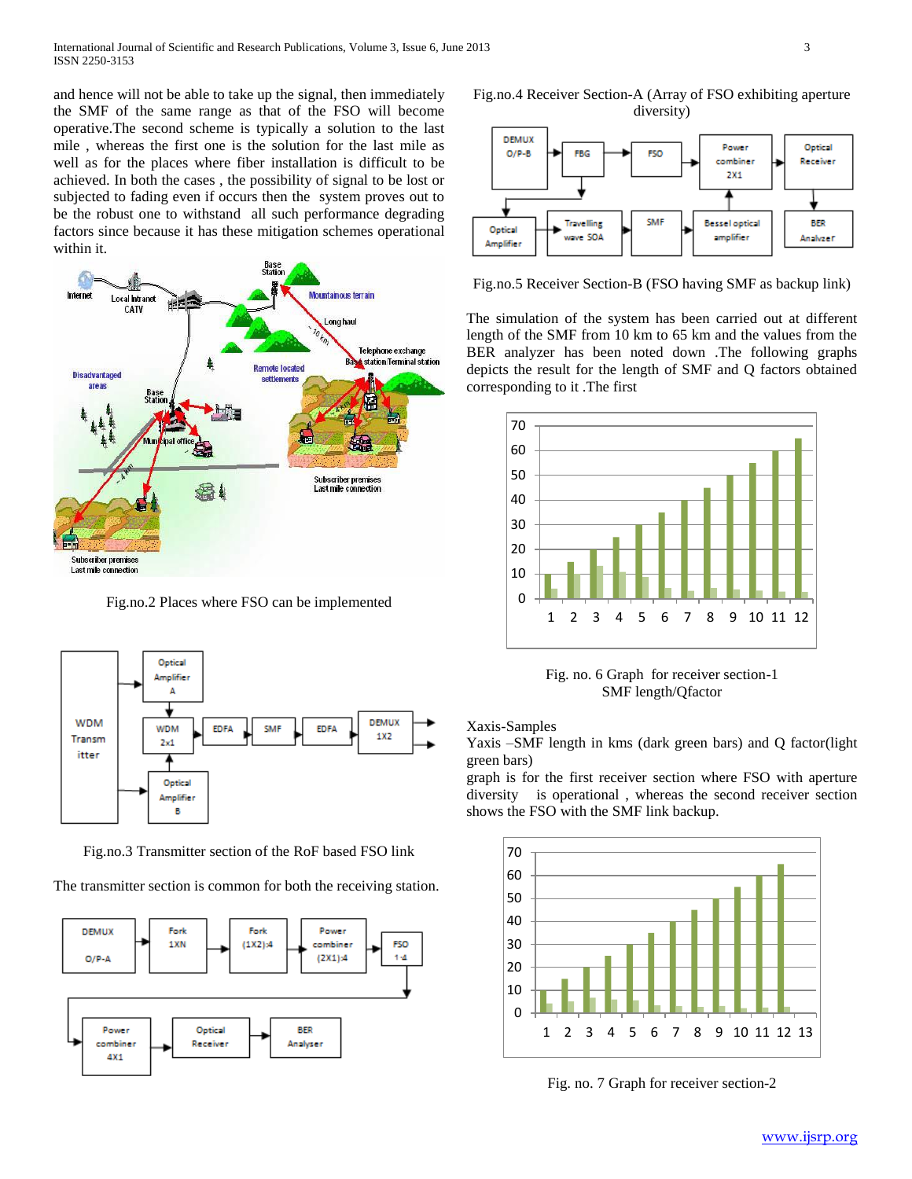and hence will not be able to take up the signal, then immediately the SMF of the same range as that of the FSO will become operative.The second scheme is typically a solution to the last mile , whereas the first one is the solution for the last mile as well as for the places where fiber installation is difficult to be achieved. In both the cases , the possibility of signal to be lost or subjected to fading even if occurs then the system proves out to be the robust one to withstand all such performance degrading factors since because it has these mitigation schemes operational within it.



Fig.no.2 Places where FSO can be implemented



Fig.no.3 Transmitter section of the RoF based FSO link

The transmitter section is common for both the receiving station.



Fig.no.4 Receiver Section-A (Array of FSO exhibiting aperture diversity)



Fig.no.5 Receiver Section-B (FSO having SMF as backup link)

The simulation of the system has been carried out at different length of the SMF from 10 km to 65 km and the values from the BER analyzer has been noted down .The following graphs depicts the result for the length of SMF and Q factors obtained corresponding to it .The first



Fig. no. 6 Graph for receiver section-1 SMF length/Qfactor

Xaxis-Samples

Yaxis –SMF length in kms (dark green bars) and Q factor(light green bars)

graph is for the first receiver section where FSO with aperture diversity is operational , whereas the second receiver section shows the FSO with the SMF link backup.



Fig. no. 7 Graph for receiver section-2